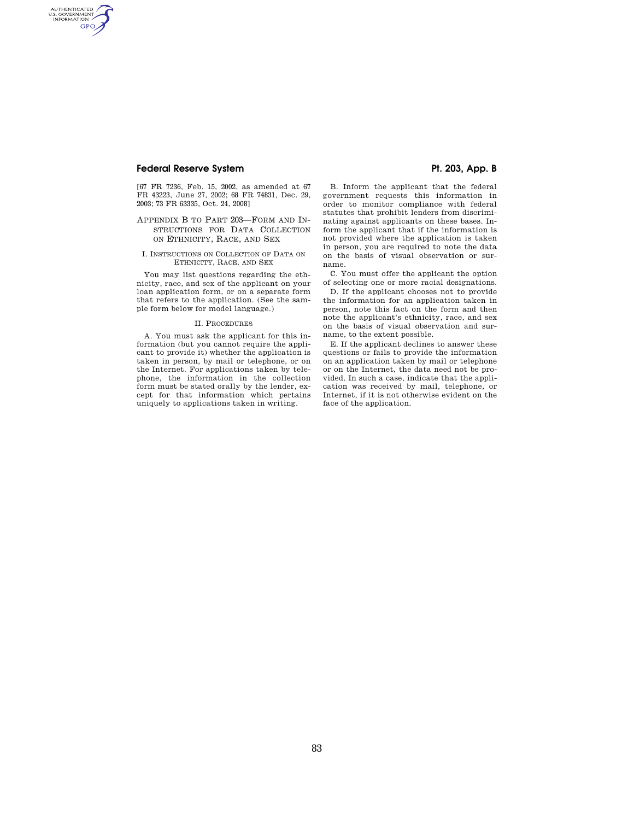# Federal Reserve System **Pt. 203, App. B**

AUTHENTICATED<br>U.S. GOVERNMENT<br>INFORMATION GPO

> [67 FR 7236, Feb. 15, 2002, as amended at 67 FR 43223, June 27, 2002; 68 FR 74831, Dec. 29, 2003; 73 FR 63335, Oct. 24, 2008]

## APPENDIX B TO PART 203—FORM AND IN-STRUCTIONS FOR DATA COLLECTION ON ETHNICITY, RACE, AND SEX

#### I. INSTRUCTIONS ON COLLECTION OF DATA ON ETHNICITY, RACE, AND SEX

You may list questions regarding the ethnicity, race, and sex of the applicant on your loan application form, or on a separate form that refers to the application. (See the sample form below for model language.)

#### II. PROCEDURES

A. You must ask the applicant for this information (but you cannot require the applicant to provide it) whether the application is taken in person, by mail or telephone, or on the Internet. For applications taken by telephone, the information in the collection form must be stated orally by the lender, except for that information which pertains uniquely to applications taken in writing.

B. Inform the applicant that the federal government requests this information in order to monitor compliance with federal statutes that prohibit lenders from discriminating against applicants on these bases. Inform the applicant that if the information is not provided where the application is taken in person, you are required to note the data on the basis of visual observation or surname.

C. You must offer the applicant the option of selecting one or more racial designations.

D. If the applicant chooses not to provide the information for an application taken in person, note this fact on the form and then note the applicant's ethnicity, race, and sex on the basis of visual observation and surname, to the extent possible.

E. If the applicant declines to answer these questions or fails to provide the information on an application taken by mail or telephone or on the Internet, the data need not be provided. In such a case, indicate that the application was received by mail, telephone, or Internet, if it is not otherwise evident on the face of the application.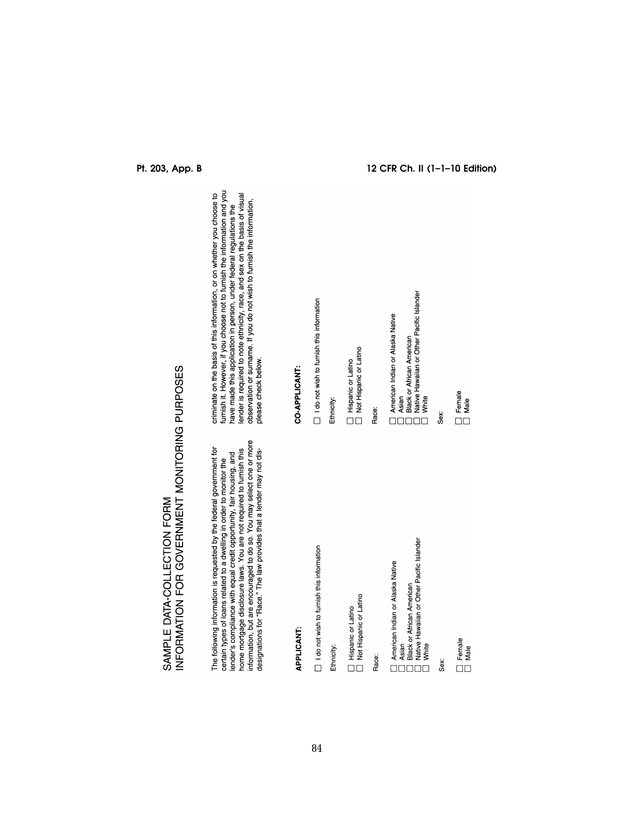| information, but are encouraged to do so. You may select one or more<br>The following information is requested by the federal government for<br>designations for "Race." The law provides that a lender may not dis-<br>home mortgage disclosure laws. You are not required to furnish this<br>lender's compliance with equal credit opportunity, fair housing, and<br>certain types of loans related to a dwelling in order to monitor the | criminate on the basis of this information, or on wheth<br>furnish it. However, if you choose not to furnish the in<br>have made this application in person, under federal r<br>lender is required to note ethnicity, race, and sex on<br>observation or surname. If you do not wish to furnish<br>please check below. |
|---------------------------------------------------------------------------------------------------------------------------------------------------------------------------------------------------------------------------------------------------------------------------------------------------------------------------------------------------------------------------------------------------------------------------------------------|------------------------------------------------------------------------------------------------------------------------------------------------------------------------------------------------------------------------------------------------------------------------------------------------------------------------|
| <b>APPLICANT:</b>                                                                                                                                                                                                                                                                                                                                                                                                                           | CO-APPLICANT:                                                                                                                                                                                                                                                                                                          |
| $\Box$ I do not wish to furnish this information                                                                                                                                                                                                                                                                                                                                                                                            | $\Box$ I do not wish to furnish this information                                                                                                                                                                                                                                                                       |
| Ethnicity:                                                                                                                                                                                                                                                                                                                                                                                                                                  | Ethnicity:                                                                                                                                                                                                                                                                                                             |
| Not Hispanic or Latino<br>Hispanic or Latino                                                                                                                                                                                                                                                                                                                                                                                                | Not Hispanic or Latino<br>Hispanic or Latino                                                                                                                                                                                                                                                                           |
| Race:                                                                                                                                                                                                                                                                                                                                                                                                                                       | Race:                                                                                                                                                                                                                                                                                                                  |
| Native Hawaiian or Other Pacific Islander<br>American Indian or Alaska Native<br><b>Black or African American</b><br>Asian<br>White                                                                                                                                                                                                                                                                                                         | Native Hawaiian or Other Pacific Islander<br>American Indian or Alaska Native<br><b>Black or African American</b><br>Asian<br>White                                                                                                                                                                                    |
| Sex:                                                                                                                                                                                                                                                                                                                                                                                                                                        | Sex:                                                                                                                                                                                                                                                                                                                   |
| Temale<br>Male                                                                                                                                                                                                                                                                                                                                                                                                                              | $\Box$ Female<br>Male                                                                                                                                                                                                                                                                                                  |

SAMPLE DATA-COLLECTION FORM<br>INFORMATION FOR GOVERNMENT MONITORING PURPOSES

ether you choose to<br>information and you<br>I regulations the<br>n the basis of visual<br>sh the information,

**Pt. 203, App. B 12 CFR Ch. II (1–1–10 Edition)**